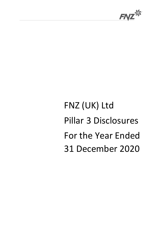

# FNZ (UK) Ltd Pillar 3 Disclosures For the Year Ended 31 December 2020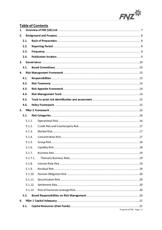

# **Table of Contents**

| 1. |          |  |                          |  |  |  |  |
|----|----------|--|--------------------------|--|--|--|--|
| 2. |          |  |                          |  |  |  |  |
|    | 2.1.     |  |                          |  |  |  |  |
|    | 2.2.     |  |                          |  |  |  |  |
|    | 2.3.     |  |                          |  |  |  |  |
|    | 2.4.     |  |                          |  |  |  |  |
| 3. |          |  |                          |  |  |  |  |
|    | 3.1.     |  |                          |  |  |  |  |
| 4. |          |  |                          |  |  |  |  |
|    | 4.1.     |  |                          |  |  |  |  |
|    | 4.2.     |  |                          |  |  |  |  |
|    | 4.3.     |  |                          |  |  |  |  |
|    | 4.4.     |  |                          |  |  |  |  |
|    | 4.5.     |  |                          |  |  |  |  |
|    | 4.6.     |  |                          |  |  |  |  |
| 5. |          |  |                          |  |  |  |  |
|    | 5.1.     |  |                          |  |  |  |  |
|    | 5.1.1.   |  |                          |  |  |  |  |
|    | 5.1.2.   |  |                          |  |  |  |  |
|    | 5.1.3.   |  |                          |  |  |  |  |
|    | 5.1.4.   |  |                          |  |  |  |  |
|    | 5.1.5.   |  |                          |  |  |  |  |
|    | 5.1.6.   |  |                          |  |  |  |  |
|    | 5.1.7.   |  |                          |  |  |  |  |
|    | 5.1.7.1. |  |                          |  |  |  |  |
|    | 5.1.8.   |  |                          |  |  |  |  |
|    | 5.1.9.   |  |                          |  |  |  |  |
|    | 5.1.10.  |  |                          |  |  |  |  |
|    | 5.1.11.  |  |                          |  |  |  |  |
|    | 5.1.12.  |  |                          |  |  |  |  |
|    | 5.1.13.  |  |                          |  |  |  |  |
|    | 5.2.     |  |                          |  |  |  |  |
| 6. |          |  |                          |  |  |  |  |
|    | 6.1.     |  | Property of FNZ Page   2 |  |  |  |  |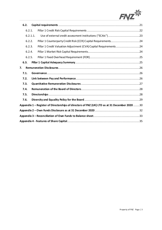

|    | 6.2.     |                                                                                               |  |
|----|----------|-----------------------------------------------------------------------------------------------|--|
|    | 6.2.1.   |                                                                                               |  |
|    | 6.2.1.1. |                                                                                               |  |
|    | 6.2.2.   | Pillar 1 Counterparty Credit Risk (CCR) Capital Requirements24                                |  |
|    | 6.2.3.   | Pillar 1 Credit Valuation Adjustment (CVA) Capital Requirements24                             |  |
|    | 6.2.4.   |                                                                                               |  |
|    | 6.2.5.   |                                                                                               |  |
|    | 6.3.     |                                                                                               |  |
| 7. |          |                                                                                               |  |
|    | 7.1.     |                                                                                               |  |
|    | 7.2.     |                                                                                               |  |
|    | 7.3.     |                                                                                               |  |
|    | 7.4.     |                                                                                               |  |
|    | 7.5.     |                                                                                               |  |
|    | 7.6.     |                                                                                               |  |
|    |          | Appendix 1 - Register of Directorships of directors of FNZ (UK) LTD as at 31 December 2020 30 |  |
|    |          |                                                                                               |  |
|    |          |                                                                                               |  |
|    |          |                                                                                               |  |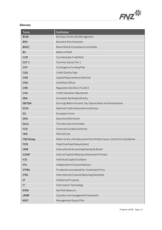

#### **Glossary**

| <b>Term</b>            | Definition                                                                |
|------------------------|---------------------------------------------------------------------------|
| <b>BCM</b>             | <b>Business Continuity Management</b>                                     |
| <b>BRC</b>             | <b>Business Risk Champion</b>                                             |
| <b>BRCC</b>            | Board Risk & Compliance Committee                                         |
| <b>BS</b>              | <b>Balance Sheet</b>                                                      |
| <b>CCR</b>             | Counterparty Credit Risk                                                  |
| CET <sub>1</sub>       | Common Equity Tier 1                                                      |
| <b>CFP</b>             | Contingency Funding Plan                                                  |
| cos                    | Credit Quality Step                                                       |
| CRD                    | Capital Requirements Directive                                            |
| CRO                    | Chief Risk Officer                                                        |
| <b>CRR</b>             | Regulation (EU) No 575/2013                                               |
| <b>CVA</b>             | Credit Valuation Adjustment                                               |
| <b>EBA</b>             | European Banking Authority                                                |
| <b>EBITDA</b>          | Earnings Before Income, Tax, Depreciation and Amortisation                |
| <b>ECAI</b>            | External Credit Assessment Institution                                    |
| EU                     | European Union                                                            |
| <b>ERO</b>             | <b>Executive Risk Owner</b>                                               |
| ExCo                   | The Executive Committee                                                   |
| <b>FCA</b>             | Financial Conduct Authority                                               |
| <b>FNZ</b>             | FNZ (UK) Ltd.                                                             |
| <b>FNZ</b> Group       | Refers to the ultimate parent Kiwi Holdco Cayco, Ltd and its subsidiaries |
| <b>FOR</b>             | Fixed Overhead Requirement                                                |
| <b>IASB</b>            | International Accounting Standards Board                                  |
| <b>ICAAP</b>           | Internal Capital Adequacy Assessment Process                              |
| <b>ICG</b>             | Individual Capital Guidance                                               |
| <b>IFA</b>             | Independent Financial Advisors                                            |
| <b>IFPRU</b>           | Prudential sourcebook for Investment Firms                                |
| <b>IFRS</b>            | International Financial Reporting Standards                               |
| IP                     | Intellectual Property                                                     |
| $\mathsf{I}\mathsf{T}$ | Information Technology                                                    |
| <b>KRM</b>             | Key Risk Measure                                                          |
| <b>LRMF</b>            | Liquidity risk management framework                                       |
| MEP                    | Management Equity Plan                                                    |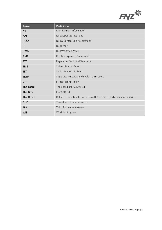

| <b>Term</b> | Definition                                                                |
|-------------|---------------------------------------------------------------------------|
| MI          | Management Information                                                    |
| <b>RAS</b>  | Risk Appetite Statement                                                   |
| <b>RCSA</b> | Risk & Control Self-Assessment                                            |
| <b>RE</b>   | <b>Risk Event</b>                                                         |
| <b>RWA</b>  | Risk Weighted Assets                                                      |
| <b>RMF</b>  | Risk Management Framework                                                 |
| <b>RTS</b>  | Regulatory Technical Standards                                            |
| <b>SME</b>  | Subject Matter Expert                                                     |
| <b>SLT</b>  | Senior Leadership Team                                                    |
| <b>SREP</b> | Supervisory Review and Evaluation Process                                 |
| <b>STP</b>  | <b>Stress Testing Policy</b>                                              |
| The Board   | The Board of FNZ (UK) Ltd                                                 |
| The Firm    | FNZ (UK) Ltd                                                              |
| The Group   | Refers to the ultimate parent Kiwi Holdco Cayco, Ltd and its subsidiaries |
| 3LM         | Three lines of defence model                                              |
| <b>TPA</b>  | Third Party Administrator                                                 |
| <b>WIP</b>  | Work-in-Progress                                                          |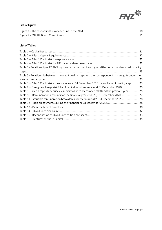

#### List of figures

#### List of Tables

| Table 5 - Relationship of ECAIs' long-term external credit ratings and the correspondent credit quality |
|---------------------------------------------------------------------------------------------------------|
|                                                                                                         |
| Table 6 - Relationship between the credit quality steps and the correspondent risk weights under the    |
|                                                                                                         |
| Table 7 – Pillar 1 Credit risk exposure value as 31 December 2020 for each credit quality step 23       |
| Table 8 – Foreign exchange risk Pillar 1 capital requirements as at 31 December 202025                  |
| Table 9 - Pillar 1 capital adequacy summary as at 31 December 2020 and the previous year 25             |
| Table 10 - Remuneration amounts for the financial year-end (YE) 31 December 2020: 27                    |
| Table 11 - Variable remuneration breakdown for the financial YE 31 December 2020:28                     |
|                                                                                                         |
|                                                                                                         |
|                                                                                                         |
|                                                                                                         |
|                                                                                                         |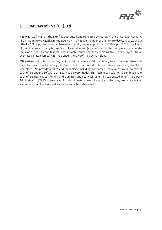

# <span id="page-6-0"></span>**1. Overview of FNZ (UK) Ltd**

FNZ (UK) Ltd ('FNZ' or 'the Firm') is authorised and regulated by the UK Financial Conduct Authority ('FCA') as an IFPRU €125k Limited Licence Firm. FNZ is a member of the Kiwi Holdco CayCo, Ltd Group ('the FNZ Group'). Following a change in majority ownership of the FNZ Group in 2018, the Firm's ultimate parent company is now Falcon Newco Limited (an exempted limited company formed under the laws of the Cayman Islands). The ultimate controlling party remains Kiwi Holdco Cayco, Ltd (an exempted limited company formed under the laws of the Cayman Islands).

FNZ partners with life companies, banks, asset managers and discretionary wealth managers to enable them to deliver wealth management services across three distribution channels; advised, direct and workplace. FNZ provides end-to-end technology, including front-office, tax wrappers and investment back-office under a software-as-a-service delivery model. This technology solution is combined with back‐office dealing, settlement and administration services as either sub‐custodian or Third-Party Administrator ('TPA') across a multitude of asset classes including collectives, exchange traded securities, direct fixed interest securities and alternative assets.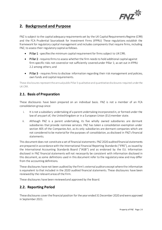

# <span id="page-7-0"></span>**2. Background and Purpose**

FNZ is subject to the capital adequacy requirements set by the UK Capital Requirements Regime (CRR) and the FCA Prudential Sourcebook for Investment Firms (IFPRU) These regulations establish the framework for regulatory capital management and includes components that require firms, including FNZ, to assess their regulatory capital as follows.

- Pillar 1 specifies the minimum capital requirement for firms subject to UK CRR;
- Pillar 2 requires firms to assess whether the firm needs to hold additional capital against firm-specific risks not covered or not sufficiently covered under Pillar 1; as set out in IFPRU 2.2 among others; and
- Pillar 3 requires firms to disclose information regarding their risk management and policies, own funds and capital requirements.

These disclosures represent the annual public Pillar 3 qualitative and quantitative disclosures required under the UK CRR.

# <span id="page-7-1"></span>**2.1. Basis of Preparation**

These disclosures have been prepared on an individual basis. FNZ is not a member of an FCA consolidation group since:

- i. It is not a subsidiary undertaking of a parent undertaking incorporated in, or formed under the law of any part of, the United Kingdom or in a European Union (EU) member state.
- ii. Although FNZ is a parent undertaking, its five wholly owned subsidiaries are dormant subsidiaries that provide nominee services. FNZ has taken a consolidation exemption under section 405 of the Companies Act, as its only subsidiaries are dormant companies which are not considered to be material for the purposes of consolidation, as disclosed in FNZ's financial statements.

This document does not constitute a set of financial statements. FNZ 2020 audited financial statements are prepared in accordance with the International Financial Reporting Standards ("IFRS"), as issued by the International Accounting Standards Board ("IASB") and as endorsed by the EU. Information disclosed in FNZ financial statements will not necessarily be consistent with information disclosed in this document, as some definitions used in this document refer to the regulatory view and may differ from the accounting definitions.

These disclosures have not been audited by the Firm's external auditors except where the information is equivalent to that included in the 2020 audited financial statements. These disclosures have been reviewed by the relevant areas of the Firm.

These disclosures have been reviewed and approved by the Board.

# <span id="page-7-2"></span>**2.2. Reporting Period**

These disclosures cover the financial position for the year ended 31 December 2020 and were approved in September 2021.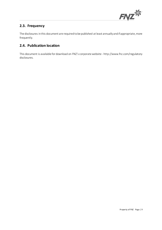

# <span id="page-8-0"></span>**2.3. Frequency**

The disclosures in this document are required to be published at least annually and if appropriate, more frequently.

# <span id="page-8-1"></span>**2.4. Publication location**

This document is available for download on FNZ's corporate website - [http://www.fnz.com/regulatory](http://www.fnz.com/regulatory-disclosures)[disclosures.](http://www.fnz.com/regulatory-disclosures)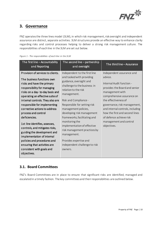

# <span id="page-9-0"></span>**3. Governance**

FNZ operates the three lines model (3LM), in which risk management, risk oversight and independent assurance are distinct, separate activities. 3LM structures provide an effective way to enhance clarity regarding risks and control processes helping to deliver a strong risk management culture. The responsibilities of each line in the 3LM are set out below.

#### <span id="page-9-2"></span>*Figure 1 - The responsibilities of each line in the 3LM*

| The first line - Accountability<br>and Reporting                                                                                                                                                                                                                                                                                                                                                                                                                                                                                                                                             | The second line $-$ partnership<br>and oversight                                                                                                                                                                                                                                                                                                                                                                                                                                  | The third line - Assurance                                                                                                                                                                                                                                                                                                                            |
|----------------------------------------------------------------------------------------------------------------------------------------------------------------------------------------------------------------------------------------------------------------------------------------------------------------------------------------------------------------------------------------------------------------------------------------------------------------------------------------------------------------------------------------------------------------------------------------------|-----------------------------------------------------------------------------------------------------------------------------------------------------------------------------------------------------------------------------------------------------------------------------------------------------------------------------------------------------------------------------------------------------------------------------------------------------------------------------------|-------------------------------------------------------------------------------------------------------------------------------------------------------------------------------------------------------------------------------------------------------------------------------------------------------------------------------------------------------|
| Provision of services to clients.<br>The business functions own<br>risks and have the primary<br>responsibility for managing<br>risks on a day- to-day basis and<br>operating an effective suite of<br>internal controls. They also are<br>responsible for implementing<br>corrective actions to address<br>process and control<br>deficiencies.<br>1st line identifies, assesses,<br>controls, and mitigates risks,<br>guiding the development and<br>implementation of internal<br>policies and procedures and<br>ensuring that activities are<br>consistent with goals and<br>objectives. | Independent to the first line<br>and tasked with providing<br>guidance, oversight and<br>challenge to the business in<br>relation to the risk<br>management.<br>Risk and Compliance -<br>Responsible for setting risk<br>management policies,<br>developing risk management<br>frameworks, facilitating and<br>monitoring the<br>implementation of effective<br>risk management practices by<br>management.<br>Provides expertise and<br>independent challenge to risk<br>owners. | Independent assurance and<br>advice.<br>Internal Audit function -<br>provides the Board and senior<br>management with<br>comprehensive assurance on<br>the effectiveness of<br>governance, risk management,<br>and internal controls, including<br>how the first and second lines<br>of defence achieve risk<br>management and control<br>objectives. |

# <span id="page-9-1"></span>**3.1. Board Committees**

FNZ's Board Committees are in place to ensure that significant risks are identified, managed and escalated in a timely fashion. The key committees and their responsibilities are outlined below.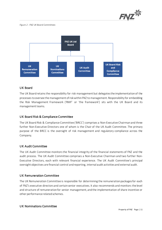

<span id="page-10-0"></span>*Figure 2 - FNZ UK Board Committees*



#### UK Board

The UK Board retains the responsibility for risk management but delegates the implementation of the processes to oversee the management of risk within FNZ to management.Responsibility for embedding the Risk Management Framework ('RMF' or 'the framework') sits with the UK Board and its management teams.

#### UK Board Risk & Compliance Committee

The UK Board Risk & Compliance Committee ('BRCC') comprises a Non-Executive Chairman and three further Non-Executive Directors one of whom is the Chair of the UK Audit Committee. The primary purpose of the BRCC is the oversight of risk management and regulatory compliance across the Company.

#### UK Audit Committee

The UK Audit Committee monitors the financial integrity of the financial statements of FNZ and the audit process. The UK Audit Committee comprises a Non-Executive Chairman and two further Non-Executive Directors, each with relevant financial experience. The UK Audit Committee's principal oversight objectives are financial control and reporting, internal audit activities and external audit.

#### UK Remuneration Committee

The UK Remuneration Committee is responsible for determining the remuneration packages for each of FNZ's executive directors and certain senior executives. It also recommends and monitors the level and structure of remuneration for senior management, and the implementation of share incentive or other performance related schemes.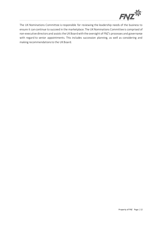

The UK Nominations Committee is responsible for reviewing the leadership needs of the business to ensure it can continue to succeed in the marketplace. The UK Nominations Committee is comprised of non-executive directors and assists the UK Board with the oversight of FNZ's processes and governance with regard to senior appointments. This includes succession planning, as well as considering and making recommendations to the UK Board.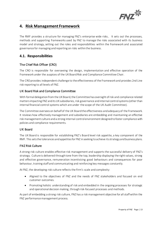

# <span id="page-12-0"></span>**4. Risk Management Framework**

The RMF provides a structure for managing FNZ's enterprise wide risks.. It sets out the processes, methods and supporting frameworks used by FNZ to manage the risks associated with its business model and strategy, setting out the roles and responsibilities within the framework and associated governance for managing and reporting on risks within the business.

# <span id="page-12-1"></span>**4.1. Responsibilities**

#### The Chief Risk Officer (CRO)

The CRO is responsible for overseeing the design, implementation and effective operation of the Framework under the auspices of the UK Board Risk and Compliance Committee Chair.

The CRO provides independent challenge to the effectiveness of the Framework and provides 2nd Line risk reporting to all levels of FNZ.

#### UK Board Risk and Compliance Committee

With formal delegation from the UK Board, the Committee has oversight of risk and compliance related matters impacting FNZ and its UK subsidiaries, risk governance and internal control systems (other than internal financial control systems which are under the scope of the UK Audit Committee).

The Committee oversees on behalf of the UK Board the effectiveness and adequacy of the Framework. It reviews how effectively management and subsidiaries are embedding and maintaining an effective risk management culture and a strong internal control environment designed to foster compliance with policies and compliance requirements.

#### UK Board

The UK Board is responsible for establishing FNZ's Board level risk appetite, a key component of the RMF. Thissets the tolerances and appetites for FNZ in seeking to achieve itsstrategy and business plans.

#### FNZ Risk Culture

A strong risk culture enables effective risk management and supports the successful delivery of FNZ's strategy. Culture is delivered through tone from the top, leadership displaying the right values, strong and effective governance, remuneration incentivizing good behaviours and consequences for poor behaviour, training staff and communicating and reinforcing key messages constantly.

At FNZ, the developing risk culture reflects the Firm's scale and complexity:

- Aligned to the objectives of FNZ and the needs of FNZ stakeholders and focused on end customer outcomes.
- Promoting holistic understanding of risk and embedded in the ongoing processes for strategic and operational decision making, through risk-focused processes and methods.

As part of embedding a strong risk culture, FNZ has a risk management objective for all staff within the FNZ performance management process.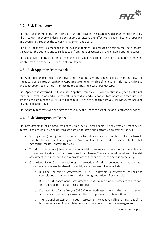

# <span id="page-13-0"></span>**4.2. Risk Taxonomy**

The Risk Taxonomy defines FNZ's principal risks and provides the business with consistent terminology. The FNZ Risk Taxonomy is designed to support consistent and effective risk identification, reporting, and oversight through to the senior management and Board.

The FNZ Taxonomy is embedded in all risk management and strategic decision-making processes throughout the business and seeks feedback from those processes as to its ongoing appropriateness.

The executive responsible for each level one Risk Type is recorded in the Risk Taxonomy Framework which is owned by the FNZ Group Chief Risk Officer.

# <span id="page-13-1"></span>**4.3. Risk Appetite Framework**

Risk Appetite is an expression of the level of risk that FNZ is willing to take to execute its strategy. Risk Appetite is articulated through Risk Appetite Statements, which define level of risk FNZ is willing to avoid, accept or seek to meet its strategic and business objectives per risk type.

Risk Appetite is governed by FNZ's Risk Appetite Framework. Each appetite is aligned to the risk taxonomy Level 1 risks and includes both quantitative and qualitative statements with measures and limits on the amount of risk FNZ is willing to take. They are supported by Key Risk Measures including Key Risk Indicators ('KRIs').

Risk Appetites are reviewed and agreed annually by the Board as part of the annual strategic review.

# <span id="page-13-2"></span>**4.4. Risk Management Tools**

Risk assessments must be conducted at multiple levels. These enable FNZ to effectively manage risk across its end-to-end value chain, through both a top-down and bottom-up assessment of risk:

- Strategic level (strategic risk assessment) a top down assessment of those risks which would threaten the successful delivery of the Business Plan. These threats are likely to be few, but material in impact if they materialise.
- Transformational level (change the business) risk assessment of where the firm has a planned programme of a significant or transformational change. There are two dimensions to the risk assessment: the impact on the risk profile of the firm and the risk to execution/delivery.
- Operational Level (run the business) a selection of risk assessment and management processes at a business level used to identify and assess risks. These include:
	- o Risk and Controls Self-Assessment ('RCSA') a bottom up assessment of risks and controls and the extent to which risk is mitigated by identified controls.
	- o Risk Events Management assessment of materialized risks and losses to reduce both the likelihood of re-occurrence and impact.
	- o Escalated Root Cause Analysis ('eRCA') in depth assessment of the major risk events to understand underlying causes and to put in place appropriate actions.
	- o Thematic risk assessment in-depth assessments to be taken of higher risk areas of the business or areas of potential emerging risk of concern to senior management.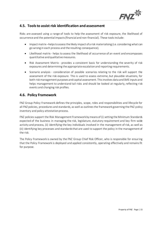

# <span id="page-14-0"></span>**4.5. Tools to assist risk identification and assessment**

Risks are assessed using a range of tools to help the assessment of risk exposure, the likelihood of occurrence and the potential impacts (financial and non-financial). These tools include:

- Impact matrix –helps to assess the likely impact of a risk materialising (i.e. considering what can go wrong in each process and the resulting consequence).
- Likelihood matrix helps to assess the likelihood of occurrence of an event and encompasses quantitative and qualitative measures.
- Risk Assessment Matrix provides a consistent basis for understanding the severity of risk exposures and determining the appropriate escalation and reporting requirements.
- Scenario analysis consideration of possible scenarios relating to the risk will support the assessment of the risk exposure. This is used to assess extreme, but plausible situations, for both risk management purposes and capital assessment. This involves data and SME inputs and helps management to understand tail risks and should be looked at regularly, reflecting risk events and changing risk profiles.

# <span id="page-14-1"></span>**4.6. Policy Framework**

FNZ Group Policy Framework defines the principles, scope, roles and responsibilities and lifecycle for all FNZ policies, procedures and standards, as well as outlines the framework governing the FNZ policy inventory and policy attestation process.

FNZ policies support the Risk Management Framework by means of (i) setting the Minimum Standards expected of the business in managing the risk, legislature, statutory requirement and key firm-wide activity and process, (ii) identifying the key individuals involved in the management of risk, as well as (iii) identifying key processes and standards that are used to support the policy in the management of the risk.

The Policy Framework is owned by the FNZ Group Chief Risk Officer, who is responsible for ensuring that the Policy Framework is deployed and applied consistently, operating effectively and remains fit for purpose.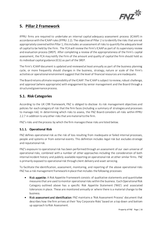

# <span id="page-15-0"></span>**5. Pillar 2 Framework**

IFPRU firms are required to undertake an internal capital adequacy assessment process (ICAAP) in accordance with the ICAAP rules (IFPRU 2.2). The objective of Pillar 2 is to identify the risks that are not appropriately covered within Pillar 1; this includes an assessment of risks to quantify the adequate level of capital to be held by the Firm. The FCA will review the Firm's ICAAP as part of its supervisory review and evaluation process [\(SREP](https://www.handbook.fca.org.uk/handbook/glossary/G2290.html)). After completing a review of the appropriateness of the Firm's capital assessment, the FCA may notify the Firm of the amount and quality of capital the Firm should hold as its individual capital guidance (ICG) as part of the SREP.

The Firm's ICAAP document is updated and reviewed at least annually as part of the business planning cycle, or more frequently should changes in the business, strategy, nature or scale of the Firm's activities or operational environment suggest that the level of financial resources are inadequate.

The Board retains ultimate responsibility of the ICAAP. The ICAAP is subject to review, robust challenge, and approval (where appropriate) with engagement by senior management and the Board through a structured governance process.

# <span id="page-15-1"></span>**5.1. Risk Categories**

According to the UK CRR framework, FNZ is obliged to disclose its risk management objectives and policies for each category of risk that the firm faces (including a summary of strategies and processes to manage risk). In determining which risks to assess, the FNZ Board considers all risks within IFPRU 2.2.7 in addition to any other risks that are material to the firm.

FNZ's risks and the process by which the firm manages these risks are listed below.

#### <span id="page-15-2"></span>**5.1.1. Operational Risk**

FNZ defines operational risk as the risk of loss resulting from inadequate or failed internal processes, people and systems or from external events. This definition includes legal risk but excludes strategic and reputational risk.

FNZ's exposure to operational risk has been performed through an assessment of our own universe of operational risks, combined with a number of other approaches including the consideration of both internal incident history and publicly available reporting on operational risk at other similar firms. FNZ is primarily exposed to operational risk through client delivery and asset servicing.

To facilitate the identification, assessment, monitoring, and reporting of the above operational risks FNZ has a risk management framework in place that includes the following processes:

- Risk appetite: A Risk Appetite Framework consists of qualitative statements and quantitative measures that are used to monitor operational risks within the business. Each Operational Risk Category outlined above has a specific Risk Appetite Statement ('RAS') and associated tolerances in place. These are monitored annually or where there is a material change to the business.
- Risk assessment and identification: FNZ maintains a 'Risk Assessment Process' document that describes how the firm arrives at their 'Key Corporate Risks' based on a top down and bottom up approach to Risk Assessment.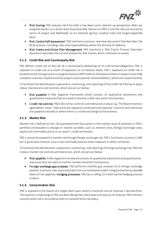

- Risk Scoring: FNZ assesses risk from both a top down and a bottom up perspective. Risks are assigned owners at a senior level (Executive Risk Owners or ERO's) and the risks are scored (in terms of impact and likelihood) on an inherent (gross), residual (net) and target (appetite) basis.
- Risk Control Self-Assessment: FNZ maintains a process overview document that describes the RCSA process, including roles and responsibilities within the first line of defence.
- Risk Events and Action Plan Management: FNZ maintains a 'Risk Events Process Overview' document describes the current process for Risk Events, which continues to evolve.

#### <span id="page-16-0"></span>**5.1.2. Credit Risk and Counterparty Risk**

FNZ defines credit risk as the risk of a counterparty defaulting on its contractual obligations. FNZ is exposed to credit risk as a result of exposures on its balance sheet. FNZ's exposure to credit risk is predominantly through work-in-progress balance (WIP) held on the balance sheet in respect of partially complete customer implementation projects and customer invoiced debtors, which are raised monthly.

To facilitate the identification, assessment, monitoring, and reporting of the credit risk FNZ has in place robust mechanisms and controls, which are set out below:

- Risk appetite: A Risk Appetite Framework which consists of qualitative statements and quantitative measures that are used to monitor credit risks within the business.
- Credit risk controls: FNZ (UK) Ltd has controls and tolerances in place e.g. The Board monitors aged debtor value. Tolerances are regularly monitored and reported. Controls and tolerances are updated annually or where there is a material change to the business.

#### <span id="page-16-1"></span>**5.1.3. Market Risk**

Market risk is defined as the risk associated with fluctuation in the market value of positions in FNZ's portfolio attributable to changes in market variables, such as interest rates, foreign exchange rates, equity and commodity prices or an issuer's credit worthiness.

FNZ is primarily exposed to market risk through foreign exchange risk: FNZ's functional currency is GBP but it generates revenue, incurs costs and holds balance sheet exposure in other currencies.

To facilitate the identification, assessment, monitoring, and reporting of foreign exchange risk, FNZ has in place market risk controls and tolerances, which are set out below:

- Risk appetite: A Risk Appetite Framework consists of qualitative statements and quantitative measures that are used to monitor market risk within the business.
- Foreign exchange gap analyses: FNZ performs monthly gap analyses of its foreign exchange position to ensure risks associated with this are monitored and/or mitigated within acceptable levels of risk appetite. Hedging processes: FNZ has a rolling 12-month partial hedging process in place.

#### <span id="page-16-2"></span>**5.1.4. Concentration Risk**

FNZ is exposed to the failure of a single client upon whom a material ratio of revenue is derived from. This position is improving as FNZ are diversifying their client base and sources of revenue. FNZ monitors concentration risk in accordance with its concentration risk policy.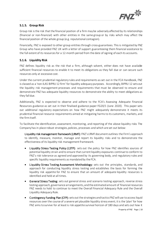

#### <span id="page-17-0"></span>**5.1.5. Group Risk**

Group risk is the risk that the financial position of a [firm](https://www.handbook.fca.org.uk/handbook/glossary/G430.html) may be adversely affected by its relationships (financial or non-financial) with other entities in the same [group](https://www.handbook.fca.org.uk/handbook/glossary/G486.html) or by risks which may affect the financial position of the whole [group](https://www.handbook.fca.org.uk/handbook/glossary/G486.html) (e.g. reputational contagion).

Financially, FNZ is exposed to other group entities through cross-guarantees. This is mitigated by FNZ Group who have provided FNZ UK with a letter of support guaranteeing them financial assistance to the full extent of its resources for a 12-month period from the date of signing of each its accounts.

#### <span id="page-17-1"></span>**5.1.6. Liquidity Risk**

FNZ defines liquidity risk as the risk that a firm, although solvent, either does not have available sufficient financial resources to enable it to meet its obligations as they fall due or can secure such resources only at excessive cost.

Under the current prudential regulatory rules and requirements as set out in the FCA Handbook, FNZ is classed as a 'non-ILAS BIPRU 12 firm' for liquidity adequacy purposes. Accordingly, BIPRU 12 sets out the liquidity risk management processes and requirements that must be observed to ensure and demonstrate FNZ has adequate liquidity resources to demonstrate the ability to meet obligations as they fall due.

Additionally, FNZ is expected to observe and adhere to the FCA's Assessing Adequate Financial Resources guidance as set out in their finalised guidance paper FG20/1 (June 2020). This paper sets out additional regulatory expectations on how FNZ might adequately demonstrate it meets its prudential financial resource requirements aimed at mitigating harms to its customers, markets, and the firm itself.

To facilitate the identification, assessment, monitoring, and reporting of the above liquidity risks The Company has in place robust strategies, policies, processes and which are set out below:

Liquidity risk management framework (LRMF): FNZ's LRMF document outlines the Firm's approach to identify, measure, monitor, manage and report its liquidity risks and to demonstrate the effectiveness of its liquidity risk management framework.

- Liquidity Stress Testing Policy (LSTP): sets out the policy for how FNZ identifies sources of potential liquidity strain and to ensure that current liquidity exposures continue to conform to FNZ's risk tolerance as agreed and approved by its governing body, and regulatory rules and specific liquidity requirements as mandated by the FCA.
- Liquidity Stress Testing Assessment Methodology: sets out the principles, standards, and approach for conducting liquidity stress testing and establishes the basis for forming the liquidity risk appetite for FNZ to ensure that an amount of adequate liquidity resources is identified and held at all times.
- General Stress Testing: sets out general stress and scenario testing approach, reverse stress testing approach, governance arrangements, and the estimated amount of financial resources FNZ needs to hold to continue to meet the Overall Financial Adequacy Rule and the Overall Liquidity Adequacy Rule.
- **Contingency Funding Plan (CFP):** sets out the strategies and tactics FNZ will use to access liquid resources over the course of a severe yet plausible liquidity stress event; it is the 'plan' for how FNZ aims to survive for at least is risk appetite survival horizon of 180 days and sets out how it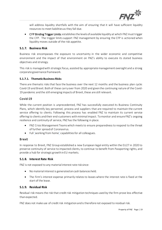

will address liquidity shortfalls with the aim of ensuring that it will have sufficient liquidity resources to meet liabilities as they fall due.

• CFP Binding Trigger Limits: establishes the levels of available liquidity at which FNZ must trigger the CFP. The trigger limits support FNZ management by ensuring the CFP is actioned when liquidity moves outside of the risk appetite.

#### <span id="page-18-0"></span>**5.1.7. Business Risk**

Business risk encompasses the exposure to uncertainty in the wider economic and competitive environment and the impact of that environment on FNZ's ability to execute its stated business objectives and strategy.

This risk is managed with strategic focus, assisted by appropriate management oversight and a strong corporate governance framework.

#### <span id="page-18-1"></span>**5.1.7.1. Thematic Business Risks**

There are thematic risks that face the business over the next 12 months and the business plan cycle: Covid-19 and Brexit.Both of these carry over from 2020 and given the continuing nature of the Covid-19 pandemic and the still emerging impacts of Brexit, these are still relevant.

#### Covid-19

While the current position is unprecedented, FNZ has successfully executed its Business Continuity Plans, which identify key personnel, process and suppliers that are required to maintain the current service offering to clients. Following this process has enabled FNZ to maintain its current service offering to clients and their end-customers with minimal impact. To monitor and ensure FNZ's ongoing resilience and continuity of service, FNZ has the following in place.

- FNZ Crisis Management Teams which meetsto ensure preparedness to respond to the threat of further spread of Coronavirus.
- Full 'working from home' capabilities for all colleagues.

#### Brexit

In response to Brexit, FNZ Group established a new European legal entity within the EU27 in 2020 to preserve continuity of service to impacted clients, to continue to benefit from Passporting rights, and provide a hub for strategic growth in EU markets.

#### <span id="page-18-2"></span>**5.1.8. Interest Rate Risk**

FNZ is not exposed to any material interest rate risk since:

- No material interest is generated on cash balances held.
- The Firm's interest expense primarily relates to leases where the interest rate is fixed at the start of the lease.

#### <span id="page-18-3"></span>**5.1.9. Residual Risk**

Residual risk means the risk that [credit risk mitigation](https://www.handbook.fca.org.uk/handbook/glossary/G2092.html) techniques used by the firm prove less effective than expected.

FNZ does not make use of credit risk mitigation and is therefore not exposed to residual risk.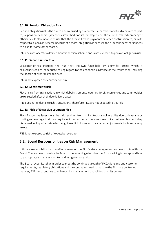

#### <span id="page-19-0"></span>**5.1.10. Pension Obligation Risk**

Pension obligation risk is the risk to a [firm](https://www.handbook.fca.org.uk/handbook/glossary/G430.html) caused by its contractual or other liabilities to, or with respect to, a pension scheme (whether established for its employees or those of a related [company](https://www.handbook.fca.org.uk/handbook/glossary/G190.html) or otherwise). It also means the risk that the [firm](https://www.handbook.fca.org.uk/handbook/glossary/G430.html) will make payments or other contribution to, or with respect to, a pension scheme because of a moral obligation or because the [firm](https://www.handbook.fca.org.uk/handbook/glossary/G430.html) considers that it needs to do so for some other reason.

FNZ does not operate a defined benefit pension scheme and is not exposed to pension obligation risk.

#### <span id="page-19-1"></span>**5.1.11. Securitisation Risk**

[Securitisation](https://www.handbook.fca.org.uk/handbook/glossary/G1331.html) risk includes the risk that the [own funds](https://www.handbook.fca.org.uk/handbook/glossary/G827.html) held by a [firm](https://www.handbook.fca.org.uk/handbook/glossary/G430.html) for assets which it ha[ssecuritised](https://www.handbook.fca.org.uk/handbook/glossary/G1331.html) are inadequate having regard to the economic substance of the transaction, including the degree of risk transfer achieved.

FNZ is not exposed to securitisation risk.

#### <span id="page-19-2"></span>**5.1.12. Settlement Risk**

Risk arising from transactions in which debt instruments, equities, foreign currencies and commodities are unsettled after their due delivery dates.

FNZ does not undertake such transactions. Therefore, FNZ are not exposed to this risk.

#### <span id="page-19-3"></span>**5.1.13. Risk of Excessive Leverage Risk**

Risk of excessive leverage is the risk resulting from an institution's vulnerability due to leverage or contingent leverage that may require unintended corrective measures to its business plan, including distressed selling of assets which might result in losses or in valuation adjustments to its remaining assets.

FNZ is not exposed to risk of excessive leverage.

#### <span id="page-19-4"></span>**5.2. Board Responsibilities on Risk Management**

Ultimate responsibility for the effectiveness of the Firm's risk management framework sits with the Board. The framework assists the Board in determining what risks the Firm is willing to accept and how to appropriately manage, monitor and mitigate those risks.

The Board recognisesthat in order to meet the continued growth of FNZ, client and end-customer requirements, regulatory obligations and the continuing needto manage the Firm in a controlled manner, FNZ must continue to enhance risk management capability across its business.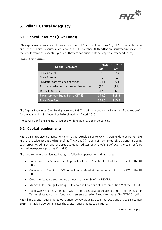

# <span id="page-20-0"></span>**6. Pillar 1 Capital Adequacy**

# <span id="page-20-1"></span>**6.1. Capital Resources(Own Funds)**

FNZ capital resources are exclusively comprised of Common Equity Tier 1 (CET 1). The table below outlines the Capital Resources calculation as at 31 December 2020 and the previous year (i.e. it excludes the profits from the respective years, as they are not audited at the respective year end dates):

<span id="page-20-3"></span>

| Capital Resources                      | Dec 2020<br>Em | Dec 2019<br>Em |  |
|----------------------------------------|----------------|----------------|--|
| Share Capital                          | 17.9           | 17.9           |  |
| <b>Share Premium</b>                   | 4.2            | 4.2            |  |
| Previous years retained earnings       | 124.4          | 96.3           |  |
| Accumulated other comprehensive income | (1.1)          | (1.2)          |  |
| Intangible assets                      | (1.4)          | (1.9)          |  |
| Total Common Equity Tier 1 (CET 1)     | 144.0          | 115.3          |  |
| <b>Total Own Funds</b>                 | 144.0          | 115.3          |  |

The Capital Resources (Own Funds) increased £28.7m, primarily due to the inclusion of audited profits for the year ended 31 December 2019, signed on 22 April 2020.

A reconciliation from IFRS net assets to own funds is provided in Appendix 3.

# <span id="page-20-2"></span>**6.2. Capital requirements**

FNZ is a Limited Licence Investment Firm, as per Article 95 of UK CRR its own funds requirement (i.e. Pillar 1) are calculated as the higher of the (i) FOR and (ii) the sum of the market risk, credit risk, including counterparty credit risk, and the credit valuation adjustment ("CVA") risk of Over-the-counter (OTC) derivatives exposure (Articles 92 and 95).

The requirements are calculated using the following approaches and methods:

- Credit Risk the Standardised Approach set out in Chapter 1 of Part Three, Title II of the UK CRR.
- Counterparty Credit risk (CCR) the Mark-to-Market method set out in article 274 of the UK CRR.
- CVA the Standardisedmethod set out in article 384 of the UK CRR.
- Market Risk Foreign Exchange risk set out in Chapter 2 of Part Three, Title IV of the UK CRR.
- Fixed Overhead Requirement (FOR) the subtractive approach set out in EBA Regulatory Technical Standards own funds requirements based on Fixed Overheads (EBA/RTS/2014/01).

FNZ Pillar 1 capital requirements were driven by FOR as at 31 December 2020 and as at 31 December 2019. The table below summarises the capital requirements calculations: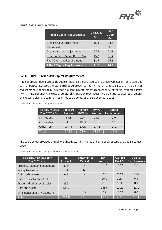

<span id="page-21-1"></span>*Table 2 – Pillar 1 Capital Requirements*

| <b>Pillar 1 Capital Requirements</b> | Dec 2020<br>Em | Dec<br> 2019<br>Em |
|--------------------------------------|----------------|--------------------|
| Credit & Counterparty risk           | 15.4           | 14.8               |
| Market risk                          | 0.3            | 1.6                |
| Credit Valuation Adjustment          | 0.04           | 0.01               |
| Sum: Credit + Market Risk + CVA      | 15.7           | 16.4               |
| Fixed Overhead Requirement           | 31.5           | 26.3               |
| <b>Pillar 1 Capital Requirements</b> | 31.5           | 26.3               |

#### <span id="page-21-0"></span>**6.2.1. Pillar 1 Credit Risk Capital Requirements**

FNZ has credit risk exposures through on-balance sheet assets such as receivables, contract assets and cash at banks. FNZ uses the Standardised Approach set out in the UK CRR to calculate its credit risk requirement under Pillar 1. The credit risk capital requirements represent 8% of the risk weighted assets (RWAs). FNZ does not make use of credit risk mitigation techniques. The credit risk capital requirements by exposure class are summarised in the table below as at 31 December 2020:

<span id="page-21-2"></span>*Table 3 – Pillar 1 Credit risk by exposure class*

| <b>Exposure Class</b><br>Dec 2020 - £m | <b>Exposure</b><br>Amount | Average<br>RWA % | <b>RWA</b><br>Amount | Capital<br>Requirements |
|----------------------------------------|---------------------------|------------------|----------------------|-------------------------|
| Institutions                           | 64.8                      | 20%              | 13.0                 | 1.0                     |
| Corporates                             | 1.9                       | 100%             | 19                   | $0.2^{\circ}$           |
| Other items                            | 177.4                     | 100%             | 177.8                | 14.2                    |
| Total                                  | 244.1                     | 79%              | 192.7                | 15.4                    |

The table below provides the risk weighted assets by IFRS balance sheet asset type as at 31 December 2020:

<span id="page-21-3"></span>*Table 4 – Pillar 1 Credit risk by IFRS balance sheet asset type*

| Balance Sheet (BS) Item<br>Dec 2020 - £m | <b>BS</b><br>Amount      | Adjustment to<br>Capital | <b>RWA</b><br>Amount | Average<br>$RWA$ % | Capital<br><b>Requirements</b> |
|------------------------------------------|--------------------------|--------------------------|----------------------|--------------------|--------------------------------|
| Property, plant and equipment            | 31.9                     |                          | 31.9                 | 100%               | 2.6                            |
| Intangible assets                        | 1.4                      | (1.4)                    |                      |                    |                                |
| Deferred tax asset                       | 0.2                      |                          | 0.5                  | 250%               | 0.04                           |
| Cash and cash equivalents                | 50.2                     |                          | 10.0                 | 20%                | 0.8                            |
| Trade and other receivables              | 29.5                     | (6.5)                    | 11.5                 | 50%                | 0.9                            |
| Contract assets                          | 138.6                    |                          | 138.6                | 100%               | 11.1                           |
| Off balance sheet FX exposure            | $\overline{\phantom{a}}$ | 0.2                      | 0.2                  | 100%               | 0.0                            |
| <b>Total</b>                             | 251.8                    | (7.7)                    | 192.7                | 79%                | 15.4                           |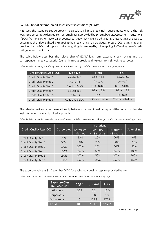

#### <span id="page-22-0"></span>**6.2.1.1. Use of external credit assessment institutions ("ECAIs")**

FNZ uses the Standardised Approach to calculate Pillar 1 credit risk requirements where the risk weighted percentage derives from external ratings provided by External Credit Assessment Institutions ("ECAIs") among other factors. For counterparties which have a credit rating, these ratings are used to determine the risk weighted, by mapping the credit rating to a credit quality step (CQS) using mappings provided by the FCA and applying a risk weighting determined by this mapping. FNZ makes use of credit ratings issued by Moody's.

The table below describes the relationship of ECAIs' long-term external credit ratings and the correspondent credit categories (denominated as credit quality steps) for risk-weight purposes.

| Credit Quality Step (CQS) | Moody's                          | Fitch            | S&P            |
|---------------------------|----------------------------------|------------------|----------------|
| Credit Quality Step 1     | Aaato Aa3                        | AAA to AA-       | AAA to AA      |
| Credit Quality Step 2     | $A1$ to $A3$                     | $A + \tau O A -$ | $A+$ to $A$    |
| Credit Quality Step 3     | Baa1to Baa3                      | BBB+to BBB       | BBB+toBBB      |
| Credit Quality Step 4     | Ba1to Ba3                        | $BB+toBB-$       | $BB-toBB$      |
| Credit Quality Step 5     | B <sub>1</sub> to B <sub>3</sub> | $B + to B -$     | $B+to B$       |
| Credit Quality Step 6     | Caa1 and below                   | CCC+ and below   | CCC+ and below |

<span id="page-22-1"></span>*Table 5 - Relationship of ECAIs' long-term external credit ratings and the correspondent credit quality steps*

The table below illustrates the relationship between the credit quality steps and the correspondent risk weights under the standardised approach:

<span id="page-22-2"></span>

|  |  | Table 6 - Relationship between the credit quality steps and the correspondent risk weights under the standardised approach |  |
|--|--|----------------------------------------------------------------------------------------------------------------------------|--|
|--|--|----------------------------------------------------------------------------------------------------------------------------|--|

| <b>Credit Quality Step (CQS)</b> | Corporates | Sovereign | Maturity        | Maturity     | Sovereigns |
|----------------------------------|------------|-----------|-----------------|--------------|------------|
|                                  |            | Method    | $\leq$ 3 months | $>$ 3 months |            |
| Credit Quality Step 1            | 20%        | 20%       | 20%             | 20%          | 0%         |
| Credit Quality Step 2            | 50%        | 50%       | 20%             | 50%          | 20%        |
| Credit Quality Step 3            | 100%       | 100%      | 20%             | 50%          | 50%        |
| Credit Quality Step 4            | 100%       | 100%      | 50%             | 100%         | 100%       |
| Credit Quality Step 5            | 150%       | 100%      | 50%             | 100%         | 100%       |
| Credit Quality Step 6            | 150%       | 150%      | 150%            | 150%         | 150%       |

The exposure value as 31 December 2020 for each credit quality step are provided below.

| <b>Exposure Class</b><br>Dec 2020 - £m | CQS <sub>1</sub> | Unrated | Total |
|----------------------------------------|------------------|---------|-------|
| Institutions                           | 10.8             | 2.2     | 13.0  |
| Corporates                             |                  | 1.8     | 19    |
| Other items                            |                  | 177.8   | 177.8 |
| Total                                  | 10.8             | 181.8   | 192.7 |

<span id="page-22-3"></span>*Table 7 – Pillar 1 Credit risk exposure value as 31 December 2020 for each credit quality step*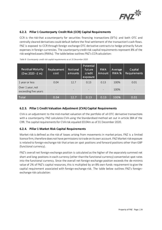

#### <span id="page-23-0"></span>**6.2.2. Pillar 1 Counterparty Credit Risk (CCR) Capital Requirements**

CCR is the risk that a counterparty for securities financing transactions (SFTs) and both OTC and centrally cleared derivatives could default before the final settlement of the transaction's cash flows. FNZ is exposed to CCR through foreign exchange OTC derivative contracts to hedge primarily future expenses in foreign currencies. The counterparty credit risk capital requirements represent 8% of the risk weighted assets (RWAs). The table below outlines FNZ's CCR calculation:

| <b>Residual Maturity</b><br>$(Dec 2020 - E m)$ | Replacement<br>cost | <b>Notional</b><br>amounts | Potential<br>future<br>credit<br>exposure | <b>RWA</b><br>Amount     | Average<br>RWA % | Capital<br>Requirements |
|------------------------------------------------|---------------------|----------------------------|-------------------------------------------|--------------------------|------------------|-------------------------|
| 1 year or less                                 | 0.04                | 12.7                       | 0.13                                      | 0.13                     | 100%             | 0.01                    |
| Over 1 year, not<br>exceeding five years       | $\equiv$            |                            |                                           | $\overline{\phantom{a}}$ | 100%             |                         |
| Total                                          | 0.04                | 12.7                       | 0.13                                      | 0.13                     | 100%             | 0.01                    |

*Table 8- Counterparty credit risk capital requirements as at 31 December 2020*

#### <span id="page-23-1"></span>**6.2.3. Pillar 1 Credit Valuation Adjustment (CVA) Capital Requirements**

CVA is an adjustment to the mid-market valuation of the portfolio of all OTC derivative transactions with a counterparty. FNZ calculates CVA using the Standardised method set out in article 384 of the CRR. The capital requirements for CVA risk equaled £0.04m as of 31 December 2020.

#### <span id="page-23-2"></span>**6.2.4. Pillar 1 Market Risk Capital Requirements**

Market risk is defined as the risk of losses arising from movements in market prices. FNZ is a limited licence firm, therefore does not have permissions to trade on its own account. FNZ Market risk exposure is related to foreign-exchange risk that arises on spot positions and forward positions other than GBP (functional currency).

FNZ's overall net foreign-exchange position is calculated as the higher of the separately summed net short and long positions in each currency (other than the functional currency) converted at spot rates into the functional currency. Since the overall net foreign-exchange position exceeds the de-minimis value of 2% of FNZ's capital resources, this is multiplied by an 8% own-funds requirement to give the capital requirement associated with foreign-exchange risk. The table below outlines FNZ's foreignexchange risk calculation: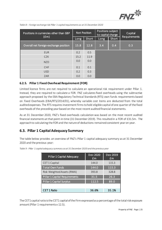

| Positions in currencies other than GBP | <b>Net Position</b> |       | Positions subject<br>to capital charge |       | Capital      |
|----------------------------------------|---------------------|-------|----------------------------------------|-------|--------------|
| $(\text{fm})$                          | Long                | Short | Long                                   | Short | Requirements |
| Overall net foreign-exchange position  | 15.8                | 12.8  | 3.4                                    | 0.4   | 0.3          |
| <b>EUR</b>                             | 0.2                 | 0.5   |                                        |       |              |
| <b>CZK</b>                             | 15.2                | 11.9  |                                        |       |              |
| <b>NZD</b>                             | 0.0                 | 0.0   |                                        |       |              |
| <b>CHF</b>                             | 0.1                 | 0.1   |                                        |       |              |
| <b>USD</b>                             | 0.2                 | 0.3   |                                        |       |              |
| ZAR                                    | 0.0                 | 0.0   |                                        |       |              |

<span id="page-24-2"></span>*Table 8 – Foreign exchange risk Pillar 1 capital requirements as at 31 December 2020*

#### <span id="page-24-0"></span>**6.2.5. Pillar 1 Fixed Overhead Requirement (FOR)**

Limited licence firms are not required to calculate an operational risk requirement under Pillar 1. Instead, they are required to calculate a FOR. FNZ calculates fixed overheads using the subtractive approach proposed by the EBA Regulatory Technical Standards (RTS) own funds requirements based on Fixed Overheads (EBA/RTS/2014/01), whereby variable cost items are deducted from the total audited expenses. The RTS requires investment Firms to hold eligible capital of one quarter of the fixed overheads of the preceding year based on the most recent audited financial statements.

As at 31 December 2020, FNZ's fixed overheads calculation was based on the most recent audited financial statements at that point-in-time (31 December 2019). This resulted in a FOR of £31.5m. The approach to calculating the FOR and the nature of deductions remained consistent year on year.

# <span id="page-24-1"></span>**6.3. Pillar 1 Capital Adequacy Summary**

The table below provides an overview of FNZ's Pillar 1 capital adequacy summary as at 31 December 2020 and the previous year:

| Pillar 1 Capital Adequacy            | Dec 2020<br>Em | Dec 2019<br>Em |
|--------------------------------------|----------------|----------------|
| CET1 Capital                         | 144.0          | 115.3          |
| <b>Total Own Funds</b>               | 144.0          | 115.3          |
| Risk Weighted Assets (RWA)           | 393.8          | 328.8          |
| <b>Pillar 1 Capital Requirements</b> | 31.5           | 26.3           |
| <b>Pillar 1 Capital Surplus</b>      | 112.5          | 89.0           |
|                                      |                |                |
| <b>CET 1 Ratio</b>                   | 36.6%          | 35.1%          |

<span id="page-24-3"></span>*Table 9 - Pillar 1 capital adequacy summary as at 31 December 2020 and the previous year*

The CET1 capital ratio is the CET1 capital of the Firm expressed as a percentage of the total risk exposure amount (Pillar 1 requirements x 12.5).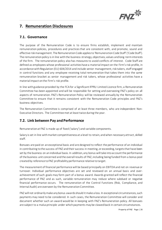

# <span id="page-25-0"></span>**7. Remuneration Disclosures**

# <span id="page-25-1"></span>**7.1. Governance**

The purpose of the Remuneration Code is to ensure firms establish, implement and maintain remuneration policies, procedures and practices that are consistent with, and promote, sound and effective risk management. The Remuneration Code applies to 'Remuneration Code Staff' ('Code Staff'). The remuneration policy is in line with the business strategy, objectives, values and long-term interests of the firm. The remuneration policy also has measures to avoid conflicts of interest. Code Staff are defined as [employees](https://www.handbook.fca.org.uk/handbook/glossary/G365.html) whose professional activities have a material impact on the F[irm's](https://www.handbook.fca.org.uk/handbook/glossary/G430.html) risk profile, in accordance with Regulation (EU) 604/2014 and include senior management, risk takers, staff engaged in control functions and any employee receiving total remuneration that takes them into the same remuneration bracket as senior management and risk takers, whose professional activities have a material impact on the Firm's risk profile.

In line with guidance provided by the FCA for a Significant IFPRU Limited Licence firm, a Remuneration Committee has been appointed and will be responsible for setting and overseeing FNZ's policy on all aspects of remuneration. FNZ's Remuneration Policy will be reviewed annually by the Remuneration Committee to ensure that it remains consistent with the Remuneration Code principles and FNZ's business objectives.

The Remuneration Committee is comprised of at least three members, who are independent Non-Executive Directors. The Committee met at least twice during the year.

# <span id="page-25-2"></span>**7.2. Link between Pay and Performance**

Remuneration at FNZ is made up of fixed ('salary') and variable components.

Salary is set in line with market competitiveness at a level to retain, and when necessary attract, skilled staff.

Bonuses are paid on an exceptional basis and are designed to reflect the performance of an individual in contributing to the success of FNZ and their success in meeting, or exceeding, targets that have been set by the business on an individual basis. In addition, any bonus will take into account the performance of the business unit concerned and the overall results of FNZ, including being funded from a bonus pool created by reference to FNZ profitability performance relative to target.

The measurement of financial performance will be based principally on EBITDA and not on revenue or turnover. Individual performance objectives are set and reviewed on an annual basis and overachievement of such goals may form part of a bonus award. Awards granted will reflect the financial performance of FNZ and as such, variable remuneration may reduce where subdued or negative financial performance occurs. The remuneration of the Control Functions (Risk, Compliance, and Internal Audit) are overseen by the Remuneration Committee.

FNZ will not ordinarily make any bonus awards should it make a loss. In exceptional circumstances, such payments may need to be considered. In such cases, the Remuneration Committee will consider and document whether such an award would be in keeping with FNZ's Remuneration policy. All bonuses are subject to a malus principle under which payments may be clawed back in certain circumstances.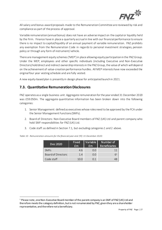

All salary and bonus award proposals made to the Remuneration Committee are reviewed by risk and compliance as part of the process of approval.

Variable remuneration (annual bonus) does not have an adverse impact on the capital or liquidity held by the Firm. Finance have in place a quarterly accrual in line with our financial performance to ensure there is no impact to capital/liquidity of an annual payment of variable remuneration. FNZ prohibits any exemption from the Remuneration Code in regards to personal investment strategies, pension policy or through any form of instrument/ vehicle.

There are management equity schemes ('MEP') in place allowing equity participation in the FNZ Group. Under the MEP, employees and other specific individuals (including Executive and Non-Executive Directors) hold direct and indirect ownership interests in the FNZ Group, the value of which will depend on the achievement of value-creation performance hurdles. All MEP interests have now exceeded the original four year vesting schedule and are fully vested.

A new equity-based plan is presently in design phase for anticipated launch in 2021.

#### <span id="page-26-0"></span>**7.3. Quantitative Remuneration Disclosures**

FNZ operates as a single business unit. Aggregate remuneration for the year ended 31 December 2020 was £59.050m. The aggregate quantitative information has been broken down into the following categories:

- 1. Senior Management: defined as executiveswhose roles need to be approved by the FCA under the Senior Management Functions (SMFs).
- 2. Board of Directors: Non-Executive Board members of FNZ (UK) Ltd and parent company who hold SMF responsibilities for FNZ (UK) Ltd.
- 3. Code staff: as defined in Section 7.1, but excluding categories 1 and 2 above.

<span id="page-26-1"></span>*Table 10 - Remuneration amounts for the financial year-end (YE) 31 December 2020:*

| Dec 2020           | Fixed<br>Em | Variable<br>Em | Number of<br><b>Beneficiaries</b> |
|--------------------|-------------|----------------|-----------------------------------|
| <b>SMES</b>        | 4.6         | $( )_{.}( )$   |                                   |
| Board of Directors | 1.4         | 0.0            |                                   |
| Code staff         | 10 Q        | O 1            |                                   |

<sup>1</sup> Please note, one Non-Executive Board member of the parent company is an SMF of FNZ (UK) Ltd and therefore meets the category definition, but is not renumerated by FNZ, given they are a shareholder representative, and therefore not a beneficiary.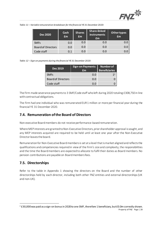

<span id="page-27-2"></span>

| <b>Dec 2020</b>           | Cash<br>£m | <b>Shares</b><br>£m | <b>Share-linked</b><br>instruments<br>Em | Other types<br><b>fm</b> |
|---------------------------|------------|---------------------|------------------------------------------|--------------------------|
| <b>SMFs</b>               | 0.0        | 0.0                 | 0.0                                      | 0.0                      |
| <b>Board of Directors</b> | 0.0        | 0.0                 | 0.0                                      | 0.0                      |
| Code staff                | 0.1        | 0.0                 | 0.0                                      |                          |

<span id="page-27-3"></span>*Table 12 – Sign-on payments during the financial YE 31 December 2020:*

| <b>Dec 2019</b>           | <b>Sign-on Payments</b><br>£m | <b>Number of</b><br><b>Beneficiaries</b> |
|---------------------------|-------------------------------|------------------------------------------|
| <b>SMFs</b>               | 0.0                           | 12                                       |
| <b>Board of Directors</b> | 0.0                           |                                          |
| Code staff                | 0.0                           |                                          |

The Firm made severance payments to 3 SMF/Code staff who left during 2020 totaling £308,750 in line with contractual obligations.

The Firm had one individual who was remunerated EUR 1 million or more per financial year during the financial YE 31 December 2020.

# <span id="page-27-0"></span>**7.4. Remuneration of the Board of Directors**

Non-executive Board members do not receive performance-based remuneration.

Where MEP interests are granted to Non-Executive Directors, prior shareholder approval issought, and any MEP interests acquired are required to be held until at least one year after the Non-Executive Director leaves the board.

Remuneration for Non-Executive Board members is set at a level that is market aligned and reflects the qualifications and competencies required in view of the Firm's size and complexity, the responsibilities and the time the Board members are expected to allocate to fulfil their duties as Board members. No pension contributions are payable on Board members fees.

# <span id="page-27-1"></span>**7.5. Directorships**

Refer to the table in Appendix 1 showing the directors on the Board and the number of other directorships held by each director, including both other FNZ entities and external directorships (UK and non-UK).

Property of FNZ Page | 28  $2$  £30,000 was paid as a sign-on bonus in 2020 to one SMF, therefore 1 beneficiary, but £0.0m correctly shown.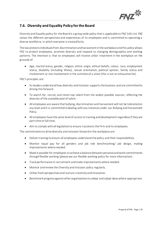

# <span id="page-28-0"></span>**7.6. Diversity and Equality Policy for the Board**

Diversity and Equality policy for the Board is a group wide policy that is applicable to FNZ (UK) Ltd. FNZ values the different perspectives and experiences of its employees and is committed to operating a diverse workforce, in which everyone is treated fairly.

The law protects individuals from discrimination and harassment in the workplace and this policy allows FNZ to protect employees, promote diversity and respond to changing demographics and working patterns. The intention is that no employees will receive unfair treatment in the workplace on the grounds of:

• Age, marital status, gender, religion, ethnic origin, ethical beliefs, colour, race, employment status, disability (including illness), sexual orientation, political opinion, family status and involvement or non-involvement in the activities of a union (this is not an exhaustive list).

FNZ's principles are:

- Itsleaders understand how diversity and inclusion supports the business and are committed to driving this forward.
- To search for, recruit, and retain top talent from the widest possible sources, reflecting the diversity of the available pool of talent.
- All employees are aware that bullying, discrimination and harassment will not be tolerated on any level and it is committed to dealing with any instances under our Bullying and Harassment Policy.
- All employees have the same level of access to training and development regardless if they are part-time or full-time.
- Aim to comply with all legislation to ensure it protects the Firm and its employees.

The commitments to drive diversity and inclusion forward in the workplace are:

- Deliver training to ensure all employees understand the policy and their responsibilities.
- Monitor equal pay for all genders and job role benchmarking/ job design, making improvements where needed.
- Make it possible for employees to achieve a balance between personal and work commitments through flexible working (please see our flexible working policy for more information).
- Track performance in recruitment and make improvements where needed.
- Monitor and review the Diversity and Inclusion policy regularly.
- Utilise fresh perspectives and nurture creativity and innovation.
- Benchmark progress against other organisations to adopt and adapt ideas where appropriate.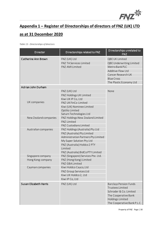

# **Appendix 1 – Register of Directorships of directors of FNZ (UK) LTD**

# <span id="page-29-0"></span>**as at 31 December 2020**

<span id="page-29-1"></span>*Table 13 - Directorships of directors* 

| Director                   | Directorships related to FNZ                                  | Directorships unrelated to<br><b>FNZ</b> |
|----------------------------|---------------------------------------------------------------|------------------------------------------|
| <b>Catherine Ann Brown</b> | FNZ (UK) Ltd                                                  | QBE UK Limited                           |
|                            | FNZ TA Services Limited                                       | QBE Underwriting Limited                 |
|                            | FNZ AMI Limited                                               | Metro Bank PLC                           |
|                            |                                                               | Additive Flow Ltd                        |
|                            |                                                               | Cancer Research UK                       |
|                            |                                                               | <b>Blue Cross</b>                        |
|                            |                                                               | The Plastic Economy Ltd                  |
| Adrian John Durham         |                                                               |                                          |
|                            | FNZ (UK) Ltd                                                  | None                                     |
|                            | FNZ Holdings UK Limited                                       |                                          |
|                            | Kiwi UK IP Co, Ltd                                            |                                          |
| UK companies               | FNZ UK FinCo Limited                                          |                                          |
|                            | Kiwi (UK) Nominee Limited                                     |                                          |
|                            | Optilio Limited                                               |                                          |
|                            | Saturn Technologies Ltd                                       |                                          |
| New Zealand companies      | FNZ Holdings New Zealand Limited                              |                                          |
|                            | <b>FNZ Limited</b>                                            |                                          |
|                            | FNZ Custodians Limited                                        |                                          |
| Australian companies       | FNZ Holdings (Australia) Pty Ltd                              |                                          |
|                            | FNZ (Australia) Pty Limited                                   |                                          |
|                            | Administration Partners Pty Limited                           |                                          |
|                            | My Super Solution Pty Ltd                                     |                                          |
|                            | FNZ (Australia) Holdco 2 PTY                                  |                                          |
|                            | Limited                                                       |                                          |
|                            | FNZ (Australia) BidCo PTY Limited                             |                                          |
| Singapore company          | FNZ (Singapore) Services Pte. Ltd.<br>FNZ (Hong Kong) Limited |                                          |
| Hong Kong company          | FNZ GBA Limited                                               |                                          |
| Cayman companies           | Kiwi Holdco Cayco, Ltd                                        |                                          |
|                            | FNZ Group Services Ltd                                        |                                          |
|                            | Kiwi UK Holdco 2, Ltd                                         |                                          |
|                            | Kiwi IP Co, Ltd                                               |                                          |
| Susan Elizabeth Harris     | FNZ (UK) Ltd                                                  | <b>Barclays Pension Funds</b>            |
|                            |                                                               | <b>Trustees Limited</b>                  |
|                            |                                                               | Schroder & Co. Limited                   |
|                            |                                                               | The Cooperative Bank                     |
|                            |                                                               | <b>Holdings Limited</b>                  |
|                            |                                                               | The Cooperative Bank P.L.C.              |
|                            |                                                               |                                          |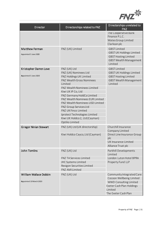

| Director                                          | Directorships related to FNZ                                                                                                                                                                                                                                                                  | Directorships unrelated to<br><b>FNZ</b>                                                                                                        |
|---------------------------------------------------|-----------------------------------------------------------------------------------------------------------------------------------------------------------------------------------------------------------------------------------------------------------------------------------------------|-------------------------------------------------------------------------------------------------------------------------------------------------|
|                                                   |                                                                                                                                                                                                                                                                                               | The Cooperative Bank<br>Finance P.L.C.<br>Wates Group Limited<br>Clarkson plc                                                                   |
| Matthew Ferman<br>Appointed 5 June 2020           | FNZ (UK) Limited                                                                                                                                                                                                                                                                              | <b>GBST Limited</b><br><b>GBST UK Holdings Limited</b><br><b>GBST Hosting Limited</b><br><b>GBST Wealth Management</b><br>Limited               |
| Kristopher Darren Love<br>Appointed 5 June 2020   | FNZ (UK) Ltd<br>FNZ (UK) Nominees Ltd<br>FNZ Holdings UK Limited<br>FNZ Wealth Gross Nominees<br>Limited                                                                                                                                                                                      | <b>GBST Limited</b><br><b>GBST UK Holdings Limited</b><br><b>GBST Hosting Limited</b><br><b>GBST Wealth Management</b><br>Limited               |
|                                                   | FNZ Wealth Nominees Limited<br>Kiwi UK IP Co, Ltd<br>FNZ Germany HoldCo Limited<br>FNZ Wealth Nominees EUR Limited<br>FNZ Wealth Nominees USD Limited<br>FNZ Group Services Ltd<br>FNZ UK Finco Limited<br>Iprotect Technologies Limited<br>Kiwi UK Holdco 2, Ltd (Cayman)<br>Optilio Limited |                                                                                                                                                 |
| <b>Gregor Ninian Stewart</b>                      | FNZ (UK) Ltd (UK directorship)<br>Kiwi Holdco Cayco, Ltd (Cayman)                                                                                                                                                                                                                             | Churchill Insurance<br>Company Limited<br>Direct Line Insurance Group<br>plc<br>UK Insurance Limited<br>Alliance Trust plc                      |
| <b>John Tomlins</b>                               | FNZ (UK) Ltd<br><b>FNZ TA Services Limited</b><br>JHC Systems Limited<br>Rexigon Securities Limited<br>FNZ AMI Limited                                                                                                                                                                        | Parkhill Developments<br>Limited<br>London Luton Hotel BPRA<br>Property Fund LLP                                                                |
| William Wallace Dobbin<br>Appointed 10 March 2020 | FNZ (UK) Ltd                                                                                                                                                                                                                                                                                  | Community Integrated Care<br>Cocoon Wellbeing Limited<br>WWD Consulting Limited<br>Exeter Cash Plan Holdings<br>Limited<br>The Exeter Cash Plan |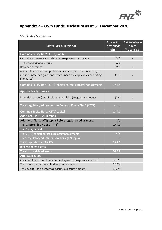

# **Appendix 2 – Own Funds Disclosure as at 31 December 2020**

<span id="page-31-1"></span><span id="page-31-0"></span>*Table 14 – Own Funds disclosure* 

| <b>OWN FUNDS TEMPLATE</b>                                                                                                                           | Amount in<br>own funds<br>$(\text{fm})$ | Ref to balance<br>sheet<br>(Appendix 3) |
|-----------------------------------------------------------------------------------------------------------------------------------------------------|-----------------------------------------|-----------------------------------------|
| Common Equity Tier 1 (CET1) Capital                                                                                                                 |                                         |                                         |
| Capital instruments and related share premium accounts                                                                                              | 22.1                                    | a                                       |
| Of which: Instruments type 1                                                                                                                        | 22.1                                    |                                         |
| Retained earnings                                                                                                                                   | 124.4                                   | b                                       |
| Accumulated other comprehensive income (and other reserves, to<br>include unrealised gains and losses under the applicable accounting<br>standards) | (1.1)                                   | $\mathsf{C}$                            |
| Common Equity Tier 1 (CET1) capital before regulatory adjustments                                                                                   | 145.4                                   |                                         |
| Applicable adjustments                                                                                                                              |                                         |                                         |
| Intangible assets (net of related tax liability) (negative amount)                                                                                  | (1.4)                                   | d                                       |
| Total regulatory adjustments to Common Equity Tier 1 (CET1)                                                                                         | (1.4)                                   |                                         |
| Common Equity Tier 1 (CET1) capital                                                                                                                 | 144.0                                   |                                         |
| Additional Tier 1 (AT1) capital                                                                                                                     |                                         |                                         |
| Additional Tier 1 (AT1) capital before regulatory adjustments                                                                                       | n/a                                     |                                         |
| Tier 1 capital $(T1 = CET1 + AT1)$                                                                                                                  | 144.0                                   |                                         |
| Tier 2 (T2) capital                                                                                                                                 |                                         |                                         |
| Tier 2 (T2) capital before regulatory adjustments                                                                                                   | n/a                                     |                                         |
| Total regulatory adjustments to Tier 2 (T2) capital                                                                                                 |                                         |                                         |
| Total capital (TC = $T1 + T2$ )                                                                                                                     | 144.0                                   |                                         |
| Risk weighted assets                                                                                                                                |                                         |                                         |
| Total risk weighted assets                                                                                                                          | 393.8                                   |                                         |
| Applicable ratios                                                                                                                                   |                                         |                                         |
| Common Equity Tier 1 (as a percentage of risk exposure amount)                                                                                      | 36.6%                                   |                                         |
| Tier 1 (as a percentage of risk exposure amount)                                                                                                    | 36.6%                                   |                                         |
| Total capital (as a percentage of risk exposure amount)                                                                                             | 36.6%                                   |                                         |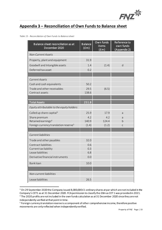

# <span id="page-32-0"></span>**Appendix 3 – Reconciliation of Own Funds to Balance sheet**

<span id="page-32-1"></span>

| Balance sheet reconciliation as at<br>December 2020 | <b>Balance</b><br>$(\overline{fm})$ | Own funds<br>items<br>$(\text{fm})$ | Reference to<br>own funds<br>(Appendix 2) |
|-----------------------------------------------------|-------------------------------------|-------------------------------------|-------------------------------------------|
| <b>Non-Current Assets</b>                           |                                     |                                     |                                           |
| Property, plant and equipment                       | 31.9                                |                                     |                                           |
| Goodwill and Intangible assets                      | 1.4                                 | (1.4)                               | d                                         |
| Deferred tax asset                                  | 0.2                                 |                                     |                                           |
|                                                     |                                     |                                     |                                           |
| <b>Current Assets</b>                               |                                     |                                     |                                           |
| Cash and cash equivalents                           | 50.2                                |                                     |                                           |
| Trade and other receivables<br>Contract assets      | 29.5<br>138.6                       | (6.5)                               |                                           |
|                                                     |                                     |                                     |                                           |
| <b>Total Assets</b>                                 | 251.8                               |                                     |                                           |
| Equity attributable to the equity holders           |                                     |                                     |                                           |
| Called up share capital <sup>3</sup>                | 25.9                                | 17.9                                | a                                         |
| Share premium                                       | 4.2                                 | 4.2                                 | a                                         |
| Retained earnings <sup>4</sup>                      | 140.9                               | 124.4                               | b                                         |
| Foreign currency translation reserve <sup>5</sup>   | (1.4)                               | (1.2)                               | $\mathsf{C}$                              |
| <b>Current liabilities</b>                          |                                     |                                     |                                           |
| Trade and other payables                            | 32.0                                |                                     |                                           |
| Contract liabilities                                | 0.6                                 |                                     |                                           |
| Current tax liability                               | 0.3                                 |                                     |                                           |
| Lease liabilities                                   | 6.8                                 |                                     |                                           |
| Derivative financial instruments                    | 0.0                                 |                                     |                                           |
| <b>Bankloan</b>                                     | 10.0                                |                                     |                                           |
|                                                     |                                     |                                     |                                           |
| Non-current liabilities                             |                                     |                                     |                                           |
| Lease liabilities                                   | 26.5                                |                                     |                                           |

<sup>3</sup> On 29 September 2020 the Company issued 8,000,000 £1 ordinary shares at par which are not included in the Company's CET1 as at 31 December 2020. FCA permission to classify the £8m as CET 1 was provided in 2021. <sup>4</sup> The 2020 profits are not included in the own funds calculation as at 31 December 2020 since they are not independently verified at that point in time.

<sup>5</sup> Foreign currency translation reserve is a component of other comprehensive income, therefore positive movements are only reflected when independently verified.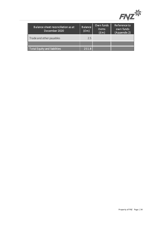

| Balance sheet reconciliation as at<br>December 2020 | <b>Balance</b><br>$(\text{fm})$ | Own funds<br>items<br>$(\text{fm})$ | Reference to<br>own funds<br>(Appendix 2) |
|-----------------------------------------------------|---------------------------------|-------------------------------------|-------------------------------------------|
| Trade and other payables                            | 2.5                             |                                     |                                           |
|                                                     |                                 |                                     |                                           |
| <b>Total Equity and liabilities</b>                 | 251.8                           |                                     |                                           |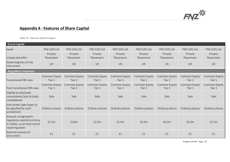

# **Appendix 4 - Features of Share Capital**

*Table 16 – Features of Share Capital* 

<span id="page-34-1"></span><span id="page-34-0"></span>

| Share Capital                                                                                            |                         |                         |                         |                         |                         |                         |                         |                         |
|----------------------------------------------------------------------------------------------------------|-------------------------|-------------------------|-------------------------|-------------------------|-------------------------|-------------------------|-------------------------|-------------------------|
| <b>Issuer</b>                                                                                            | FNZ (UK) Ltd            | FNZ (UK) Ltd            | FNZ (UK) Ltd            | FNZ (UK) Ltd            | FNZ (UK) Ltd            | FNZ (UK) Ltd            | FNZ (UK) Ltd            | FNZ (UK) Ltd            |
| Unique Identifier                                                                                        | Private<br>Placement    | Private<br>Placement    | Private<br>Placement    | Private<br>Placement    | Private<br>Placement    | Private<br>Placement    | Private<br>Placement    | Private<br>Placement    |
| Governing laws of the<br>linstrument                                                                     | UK                      | <b>UK</b>               | UK                      | UK                      | UK                      | UK                      | <b>UK</b>               | <b>UK</b>               |
| Regulatory treatment                                                                                     |                         |                         |                         |                         |                         |                         |                         |                         |
| <b>Transitional CRR rules</b>                                                                            | Common Equity<br>Tier 1 | Common Equity<br>Tier 1 | Common Equity<br>Tier 1 | Common Equity<br>Tier 1 | Common Equity<br>Tier 1 | Common Equity<br>Tier 1 | Common Equity<br>Tier 1 | Common Equity<br>Tier 1 |
| Post-transitional CRR rules                                                                              | Common Equity<br>Tier 1 | Common Equity<br>Tier 1 | Common Equity<br>Tier 1 | Common Equity<br>Tier 1 | Common Equity<br>Tier 1 | Common Equity<br>Tier 1 | Common Equity<br>Tier 1 | Common Equity<br>Tier 1 |
| Eligible at solo/(sub)-<br>consolidated /solo & (sub)-<br>consolidated                                   | Solo                    | Solo                    | Solo                    | Solo                    | Solo                    | Solo                    | Solo                    | Solo                    |
| Instrument type (types to<br>be specified by each<br>jurisdiction)                                       | Ordinary shares         | Ordinary shares         | Ordinary shares         | Ordinary shares         | Ordinary shares         | Ordinary shares         | Ordinary shares         | Ordinary shares         |
| Amount recognised in<br>regulatory capital (currency<br>in million, as of most recent<br>reporting date) | £1.1m                   | £3.8m                   | £2.5m                   | £1.4m                   | £0.3m                   | £6.5m                   | £5.0m                   | £1.5m                   |
| Nominal amount of<br>instrument                                                                          | £1                      | £1                      | £1                      | £1                      | £1                      | £1                      | £1                      | £1                      |

Property of FNZ Page | 35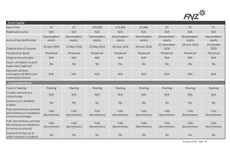

| Share Capital                                                                         |                         |                         |                         |                         |                         |                         |                         |                         |
|---------------------------------------------------------------------------------------|-------------------------|-------------------------|-------------------------|-------------------------|-------------------------|-------------------------|-------------------------|-------------------------|
| <b>Issue Price</b>                                                                    | £1                      | £1                      | £25,000                 | £13,966                 | £3,466                  | £1                      | £1                      | £1                      |
| Redemption price                                                                      | N/A                     | N/A                     | N/A                     | N/A                     | N/A                     | N/A                     | N/A                     | N/A                     |
| Accounting classification                                                             | Shareholders'<br>equity | Shareholders'<br>equity | Shareholders'<br>equity | Shareholders'<br>equity | Shareholders'<br>equity | Shareholders'<br>equity | Shareholders'<br>equity | Shareholders'<br>equity |
| Original date of issuance                                                             | 26 April 2005           | 23 May 2016             | 23 May 2016             | 28 June 2016            | 28 June 2016            | 31 December<br>2016     | 28 June 2019            | 23 October<br>2019      |
| Perpetual or dated                                                                    | Perpetual               | Perpetual               | Perpetual               | Perpetual               | Perpetual               | Perpetual               | Perpetual               | Perpetual               |
| Original maturity date                                                                | N/A                     | N/A                     | N/A                     | N/A                     | N/A                     | N/A                     | N/A                     | N/A                     |
| Issuer call subject to prior<br>supervisory approval                                  | <b>No</b>               | <b>No</b>               | <b>No</b>               | <b>No</b>               | <b>No</b>               | <b>No</b>               | <b>No</b>               | <b>No</b>               |
| Optional call date,<br>contingent call dates and<br>redemption amount                 | N/A                     | N/A                     | N/A                     | N/A                     | N/A                     | N/A                     | N/A                     | N/A                     |
|                                                                                       |                         |                         |                         |                         |                         |                         |                         |                         |
| Coupons/dividends                                                                     |                         |                         |                         |                         |                         |                         |                         |                         |
| Fixed or floating                                                                     | Floating                | Floating                | Floating                | Floating                | Floating                | Floating                | Floating                | Floating                |
| Coupon rate and any<br>related index                                                  | N/A                     | N/A                     | N/A                     | N/A                     | N/A                     | N/A                     | N/A                     | N/A                     |
| Existence of a dividend<br>stopper                                                    | <b>No</b>               | <b>No</b>               | <b>No</b>               | <b>No</b>               | <b>No</b>               | <b>No</b>               | <b>No</b>               | <b>No</b>               |
| Fully discretionary, partially<br>discretionary or mandatory<br>(in terms or timings) | Fully<br>discretionary  | Fully<br>discretionary  | Fully<br>discretionary  | Fully<br>discretionary  | Fully<br>discretionary  | Fully<br>discretionary  | Fully<br>discretionary  | Fully<br>discretionary  |
| Fully discretionary, partially<br>discretionary or mandatory<br>(in terms or amount)  | Fully<br>discretionary  | Fully<br>discretionary  | Fully<br>discretionary  | Fully<br>discretionary  | Fully<br>discretionary  | Fully<br>discretionary  | Fully<br>discretionary  | Fully<br>discretionary  |

Property of FNZ Page | 36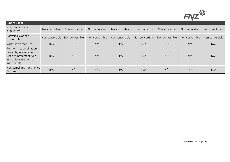

| Share Capital                                                                                                             |                 |                 |                 |                 |                 |                 |                 |                 |
|---------------------------------------------------------------------------------------------------------------------------|-----------------|-----------------|-----------------|-----------------|-----------------|-----------------|-----------------|-----------------|
| Noncumulative or<br>cumulative                                                                                            | Noncumulative   | Noncumulative   | Noncumulative   | Noncumulative   | Noncumulative   | Noncumulative   | Noncumulative   | Noncumulative   |
| Convertible or non-<br>convertible                                                                                        | Non-convertible | Non-convertible | Non-convertible | Non-convertible | Non-convertible | Non-convertible | Non-convertible | Non-convertible |
| Write-down features                                                                                                       | N/A             | N/A             | N/A             | N/A             | N/A             | N/A             | N/A             | N/A             |
| Position in subordination<br>hierarchy in liquidation<br>(specify instrument type<br>immediately senior to<br>instrument) | N/A             | N/A             | N/A             | N/A             | N/A             | N/A             | N/A             | N/A             |
| Non-compliant transitioned<br>features                                                                                    | N/A             | N/A             | N/A             | N/A             | N/A             | N/A             | N/A             | N/A             |